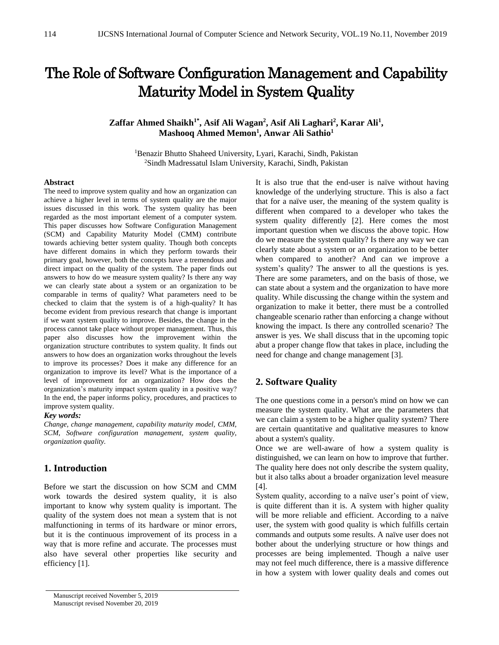# The Role of Software Configuration Management and Capability Maturity Model in System Quality

# **Zaffar Ahmed Shaikh1\*, Asif Ali Wagan<sup>2</sup> , Asif Ali Laghari<sup>2</sup> , Karar Ali<sup>1</sup> , Mashooq Ahmed Memon<sup>1</sup> , Anwar Ali Sathio<sup>1</sup>**

<sup>1</sup>Benazir Bhutto Shaheed University, Lyari, Karachi, Sindh, Pakistan <sup>2</sup>Sindh Madressatul Islam University, Karachi, Sindh, Pakistan

#### **Abstract**

The need to improve system quality and how an organization can achieve a higher level in terms of system quality are the major issues discussed in this work. The system quality has been regarded as the most important element of a computer system. This paper discusses how Software Configuration Management (SCM) and Capability Maturity Model (CMM) contribute towards achieving better system quality. Though both concepts have different domains in which they perform towards their primary goal, however, both the concepts have a tremendous and direct impact on the quality of the system. The paper finds out answers to how do we measure system quality? Is there any way we can clearly state about a system or an organization to be comparable in terms of quality? What parameters need to be checked to claim that the system is of a high-quality? It has become evident from previous research that change is important if we want system quality to improve. Besides, the change in the process cannot take place without proper management. Thus, this paper also discusses how the improvement within the organization structure contributes to system quality. It finds out answers to how does an organization works throughout the levels to improve its processes? Does it make any difference for an organization to improve its level? What is the importance of a level of improvement for an organization? How does the organization's maturity impact system quality in a positive way? In the end, the paper informs policy, procedures, and practices to improve system quality.

#### *Key words:*

*Change, change management, capability maturity model, CMM, SCM, Software configuration management, system quality, organization quality.*

# **1. Introduction**

Before we start the discussion on how SCM and CMM work towards the desired system quality, it is also important to know why system quality is important. The quality of the system does not mean a system that is not malfunctioning in terms of its hardware or minor errors, but it is the continuous improvement of its process in a way that is more refine and accurate. The processes must also have several other properties like security and efficiency [1].

It is also true that the end-user is naïve without having knowledge of the underlying structure. This is also a fact that for a naïve user, the meaning of the system quality is different when compared to a developer who takes the system quality differently [2]. Here comes the most important question when we discuss the above topic. How do we measure the system quality? Is there any way we can clearly state about a system or an organization to be better when compared to another? And can we improve a system's quality? The answer to all the questions is yes. There are some parameters, and on the basis of those, we can state about a system and the organization to have more quality. While discussing the change within the system and organization to make it better, there must be a controlled changeable scenario rather than enforcing a change without knowing the impact. Is there any controlled scenario? The answer is yes. We shall discuss that in the upcoming topic abut a proper change flow that takes in place, including the need for change and change management [3].

# **2. Software Quality**

The one questions come in a person's mind on how we can measure the system quality. What are the parameters that we can claim a system to be a higher quality system? There are certain quantitative and qualitative measures to know about a system's quality.

Once we are well-aware of how a system quality is distinguished, we can learn on how to improve that further. The quality here does not only describe the system quality, but it also talks about a broader organization level measure [4].

System quality, according to a naïve user's point of view, is quite different than it is. A system with higher quality will be more reliable and efficient. According to a naïve user, the system with good quality is which fulfills certain commands and outputs some results. A naïve user does not bother about the underlying structure or how things and processes are being implemented. Though a naïve user may not feel much difference, there is a massive difference in how a system with lower quality deals and comes out

Manuscript received November 5, 2019 Manuscript revised November 20, 2019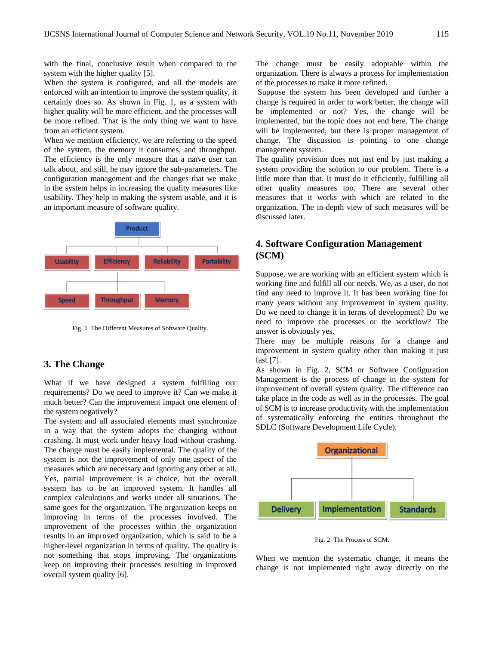with the final, conclusive result when compared to the system with the higher quality [5].

When the system is configured, and all the models are enforced with an intention to improve the system quality, it certainly does so. As shown in Fig. 1, as a system with higher quality will be more efficient, and the processes will be more refined. That is the only thing we want to have from an efficient system.

When we mention efficiency, we are referring to the speed of the system, the memory it consumes, and throughput. The efficiency is the only measure that a naïve user can talk about, and still, he may ignore the sub-parameters. The configuration management and the changes that we make in the system helps in increasing the quality measures like usability. They help in making the system usable, and it is an important measure of software quality.



Fig. 1 The Different Measures of Software Quality.

# **3. The Change**

What if we have designed a system fulfilling our requirements? Do we need to improve it? Can we make it much better? Can the improvement impact one element of the system negatively?

The system and all associated elements must synchronize in a way that the system adopts the changing without crashing. It must work under heavy load without crashing. The change must be easily implemental. The quality of the system is not the improvement of only one aspect of the measures which are necessary and ignoring any other at all. Yes, partial improvement is a choice, but the overall system has to be an improved system. It handles all complex calculations and works under all situations. The same goes for the organization. The organization keeps on improving in terms of the processes involved. The improvement of the processes within the organization results in an improved organization, which is said to be a higher-level organization in terms of quality. The quality is not something that stops improving. The organizations keep on improving their processes resulting in improved overall system quality [6].

The change must be easily adoptable within the organization. There is always a process for implementation of the processes to make it more refined.

Suppose the system has been developed and further a change is required in order to work better, the change will be implemented or not? Yes, the change will be implemented, but the topic does not end here. The change will be implemented, but there is proper management of change. The discussion is pointing to one change management system.

The quality provision does not just end by just making a system providing the solution to our problem. There is a little more than that. It must do it efficiently, fulfilling all other quality measures too. There are several other measures that it works with which are related to the organization. The in-depth view of such measures will be discussed later.

# **4. Software Configuration Management (SCM)**

Suppose, we are working with an efficient system which is working fine and fulfill all our needs. We, as a user, do not find any need to improve it. It has been working fine for many years without any improvement in system quality. Do we need to change it in terms of development? Do we need to improve the processes or the workflow? The answer is obviously yes.

There may be multiple reasons for a change and improvement in system quality other than making it just fast [7].

As shown in Fig. 2, SCM or Software Configuration Management is the process of change in the system for improvement of overall system quality. The difference can take place in the code as well as in the processes. The goal of SCM is to increase productivity with the implementation of systematically enforcing the entities throughout the SDLC (Software Development Life Cycle).



Fig. 2 The Process of SCM.

When we mention the systematic change, it means the change is not implemented right away directly on the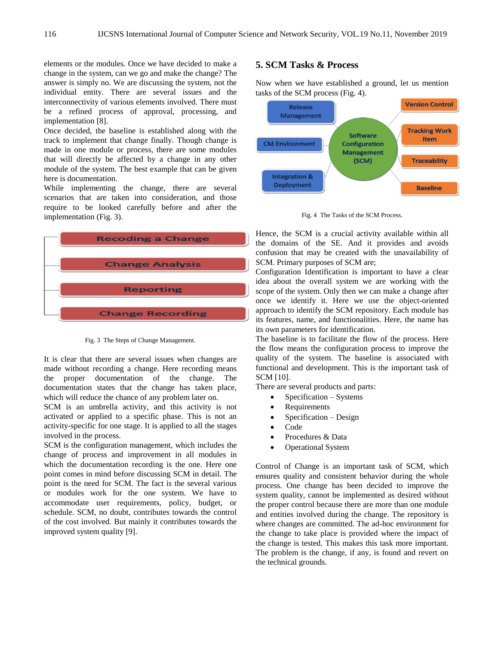elements or the modules. Once we have decided to make a change in the system, can we go and make the change? The answer is simply no. We are discussing the system, not the individual entity. There are several issues and the interconnectivity of various elements involved. There must be a refined process of approval, processing, and implementation [8].

Once decided, the baseline is established along with the track to implement that change finally. Though change is made in one module or process, there are some modules that will directly be affected by a change in any other module of the system. The best example that can be given here is documentation.

While implementing the change, there are several scenarios that are taken into consideration, and those require to be looked carefully before and after the implementation (Fig. 3).



Fig. 3 The Steps of Change Management.

It is clear that there are several issues when changes are made without recording a change. Here recording means the proper documentation of the change. The documentation states that the change has taken place, which will reduce the chance of any problem later on.

SCM is an umbrella activity, and this activity is not activated or applied to a specific phase. This is not an activity-specific for one stage. It is applied to all the stages involved in the process.

SCM is the configuration management, which includes the change of process and improvement in all modules in which the documentation recording is the one. Here one point comes in mind before discussing SCM in detail. The point is the need for SCM. The fact is the several various or modules work for the one system. We have to accommodate user requirements, policy, budget, or schedule. SCM, no doubt, contributes towards the control of the cost involved. But mainly it contributes towards the improved system quality [9].

# **5. SCM Tasks & Process**

Now when we have established a ground, let us mention tasks of the SCM process (Fig. 4).



Fig. 4 The Tasks of the SCM Process.

Hence, the SCM is a crucial activity available within all the domains of the SE. And it provides and avoids confusion that may be created with the unavailability of SCM. Primary purposes of SCM are;

Configuration Identification is important to have a clear idea about the overall system we are working with the scope of the system. Only then we can make a change after once we identify it. Here we use the object-oriented approach to identify the SCM repository. Each module has its features, name, and functionalities. Here, the name has its own parameters for identification.

The baseline is to facilitate the flow of the process. Here the flow means the configuration process to improve the quality of the system. The baseline is associated with functional and development. This is the important task of SCM [10].

There are several products and parts:

- $\bullet$  Specification Systems
- Requirements
- Specification Design
- Code
- Procedures & Data
- Operational System

Control of Change is an important task of SCM, which ensures quality and consistent behavior during the whole process. One change has been decided to improve the system quality, cannot be implemented as desired without the proper control because there are more than one module and entities involved during the change. The repository is where changes are committed. The ad-hoc environment for the change to take place is provided where the impact of the change is tested. This makes this task more important. The problem is the change, if any, is found and revert on the technical grounds.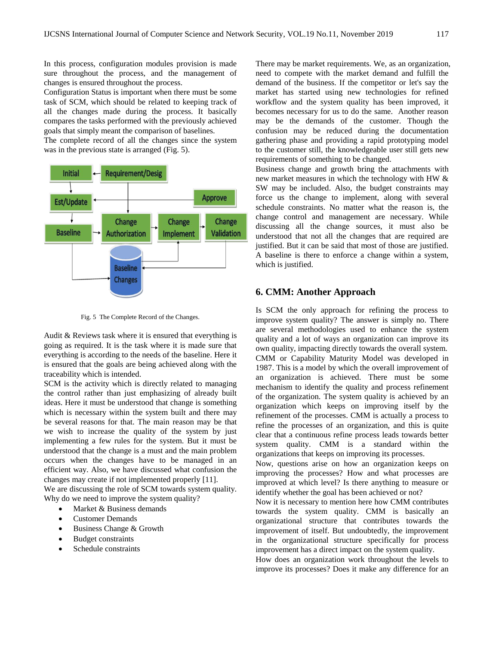In this process, configuration modules provision is made sure throughout the process, and the management of changes is ensured throughout the process.

Configuration Status is important when there must be some task of SCM, which should be related to keeping track of all the changes made during the process. It basically compares the tasks performed with the previously achieved goals that simply meant the comparison of baselines.

The complete record of all the changes since the system was in the previous state is arranged (Fig. 5).



Fig. 5 The Complete Record of the Changes.

Audit & Reviews task where it is ensured that everything is going as required. It is the task where it is made sure that everything is according to the needs of the baseline. Here it is ensured that the goals are being achieved along with the traceability which is intended.

SCM is the activity which is directly related to managing the control rather than just emphasizing of already built ideas. Here it must be understood that change is something which is necessary within the system built and there may be several reasons for that. The main reason may be that we wish to increase the quality of the system by just implementing a few rules for the system. But it must be understood that the change is a must and the main problem occurs when the changes have to be managed in an efficient way. Also, we have discussed what confusion the changes may create if not implemented properly [11].

We are discussing the role of SCM towards system quality. Why do we need to improve the system quality?

- Market & Business demands
- Customer Demands
- Business Change & Growth
- Budget constraints
- Schedule constraints

There may be market requirements. We, as an organization, need to compete with the market demand and fulfill the demand of the business. If the competitor or let's say the market has started using new technologies for refined workflow and the system quality has been improved, it becomes necessary for us to do the same. Another reason may be the demands of the customer. Though the confusion may be reduced during the documentation gathering phase and providing a rapid prototyping model to the customer still, the knowledgeable user still gets new requirements of something to be changed.

Business change and growth bring the attachments with new market measures in which the technology with HW & SW may be included. Also, the budget constraints may force us the change to implement, along with several schedule constraints. No matter what the reason is, the change control and management are necessary. While discussing all the change sources, it must also be understood that not all the changes that are required are justified. But it can be said that most of those are justified. A baseline is there to enforce a change within a system, which is justified.

#### **6. CMM: Another Approach**

Is SCM the only approach for refining the process to improve system quality? The answer is simply no. There are several methodologies used to enhance the system quality and a lot of ways an organization can improve its own quality, impacting directly towards the overall system. CMM or Capability Maturity Model was developed in 1987. This is a model by which the overall improvement of an organization is achieved. There must be some mechanism to identify the quality and process refinement of the organization. The system quality is achieved by an organization which keeps on improving itself by the refinement of the processes. CMM is actually a process to refine the processes of an organization, and this is quite clear that a continuous refine process leads towards better system quality. CMM is a standard within the organizations that keeps on improving its processes.

Now, questions arise on how an organization keeps on improving the processes? How and what processes are improved at which level? Is there anything to measure or identify whether the goal has been achieved or not?

Now it is necessary to mention here how CMM contributes towards the system quality. CMM is basically an organizational structure that contributes towards the improvement of itself. But undoubtedly, the improvement in the organizational structure specifically for process improvement has a direct impact on the system quality.

How does an organization work throughout the levels to improve its processes? Does it make any difference for an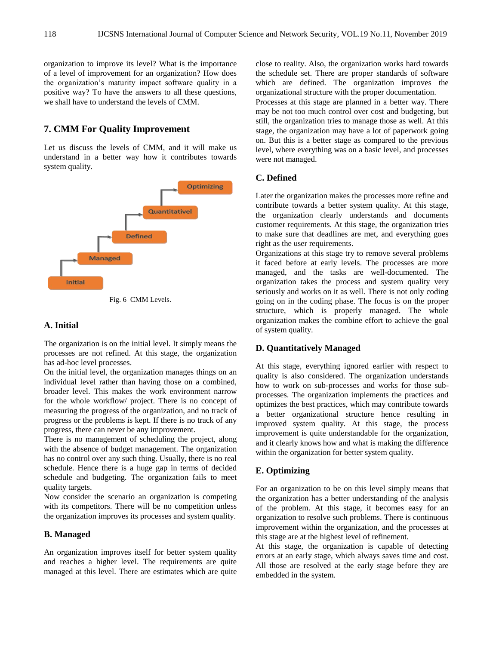organization to improve its level? What is the importance of a level of improvement for an organization? How does the organization's maturity impact software quality in a positive way? To have the answers to all these questions, we shall have to understand the levels of CMM.

# **7. CMM For Quality Improvement**

Let us discuss the levels of CMM, and it will make us understand in a better way how it contributes towards system quality.



Fig. 6 CMM Levels.

## **A. Initial**

The organization is on the initial level. It simply means the processes are not refined. At this stage, the organization has ad-hoc level processes.

On the initial level, the organization manages things on an individual level rather than having those on a combined, broader level. This makes the work environment narrow for the whole workflow/ project. There is no concept of measuring the progress of the organization, and no track of progress or the problems is kept. If there is no track of any progress, there can never be any improvement.

There is no management of scheduling the project, along with the absence of budget management. The organization has no control over any such thing. Usually, there is no real schedule. Hence there is a huge gap in terms of decided schedule and budgeting. The organization fails to meet quality targets.

Now consider the scenario an organization is competing with its competitors. There will be no competition unless the organization improves its processes and system quality.

# **B. Managed**

An organization improves itself for better system quality and reaches a higher level. The requirements are quite managed at this level. There are estimates which are quite close to reality. Also, the organization works hard towards the schedule set. There are proper standards of software which are defined. The organization improves the organizational structure with the proper documentation.

Processes at this stage are planned in a better way. There may be not too much control over cost and budgeting, but still, the organization tries to manage those as well. At this stage, the organization may have a lot of paperwork going on. But this is a better stage as compared to the previous level, where everything was on a basic level, and processes were not managed.

# **C. Defined**

Later the organization makes the processes more refine and contribute towards a better system quality. At this stage, the organization clearly understands and documents customer requirements. At this stage, the organization tries to make sure that deadlines are met, and everything goes right as the user requirements.

Organizations at this stage try to remove several problems it faced before at early levels. The processes are more managed, and the tasks are well-documented. The organization takes the process and system quality very seriously and works on it as well. There is not only coding going on in the coding phase. The focus is on the proper structure, which is properly managed. The whole organization makes the combine effort to achieve the goal of system quality.

# **D. Quantitatively Managed**

At this stage, everything ignored earlier with respect to quality is also considered. The organization understands how to work on sub-processes and works for those subprocesses. The organization implements the practices and optimizes the best practices, which may contribute towards a better organizational structure hence resulting in improved system quality. At this stage, the process improvement is quite understandable for the organization, and it clearly knows how and what is making the difference within the organization for better system quality.

# **E. Optimizing**

For an organization to be on this level simply means that the organization has a better understanding of the analysis of the problem. At this stage, it becomes easy for an organization to resolve such problems. There is continuous improvement within the organization, and the processes at this stage are at the highest level of refinement.

At this stage, the organization is capable of detecting errors at an early stage, which always saves time and cost. All those are resolved at the early stage before they are embedded in the system.